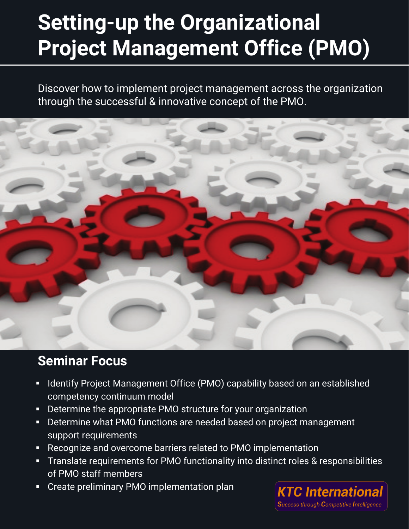# **Setting-up the Organizational Project Management Office (PMO)**

Discover how to implement project management across the organization through the successful & innovative concept of the PMO.



### **Seminar Focus**

- **If Identify Project Management Office (PMO) capability based on an established** competency continuum model
- **Determine the appropriate PMO structure for your organization**
- Determine what PMO functions are needed based on project management support requirements
- Recognize and overcome barriers related to PMO implementation
- **Translate requirements for PMO functionality into distinct roles & responsibilities** of PMO staff members
- **EXP** Create preliminary PMO implementation plan

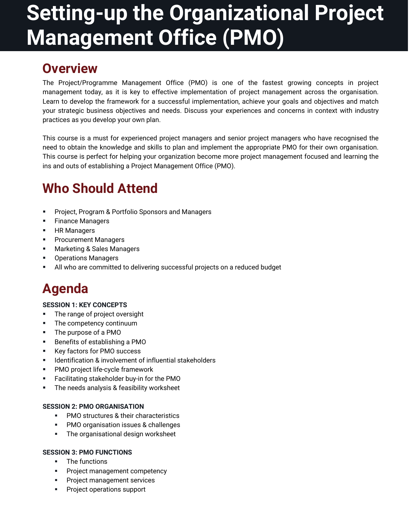# **Setting-up the Organizational Project Management Office (PMO)**

### **Overview**

The Project/Programme Management Office (PMO) is one of the fastest growing concepts in project management today, as it is key to effective implementation of project management across the organisation. Learn to develop the framework for a successful implementation, achieve your goals and objectives and match your strategic business objectives and needs. Discuss your experiences and concerns in context with industry practices as you develop your own plan.

This course is a must for experienced project managers and senior project managers who have recognised the need to obtain the knowledge and skills to plan and implement the appropriate PMO for their own organisation. This course is perfect for helping your organization become more project management focused and learning the ins and outs of establishing a Project Management Office (PMO).

## **Who Should Attend**

- Project, Program & Portfolio Sponsors and Managers
- **Finance Managers**
- **HR Managers**
- **Procurement Managers**
- Marketing & Sales Managers
- **•** Operations Managers
- All who are committed to delivering successful projects on a reduced budget

## **Agenda**

#### **SESSION 1: KEY CONCEPTS**

- **The range of project oversight**
- **The competency continuum**
- The purpose of a PMO
- **Benefits of establishing a PMO**
- Key factors for PMO success
- **IDENTIFICATE:** Identification & involvement of influential stakeholders
- PMO project life-cycle framework
- Facilitating stakeholder buy-in for the PMO
- **The needs analysis & feasibility worksheet**

#### **SESSION 2: PMO ORGANISATION**

- **PMO** structures & their characteristics
- **PMO** organisation issues & challenges
- **The organisational design worksheet**

#### **SESSION 3: PMO FUNCTIONS**

- The functions
- Project management competency
- **Project management services**
- **Project operations support**